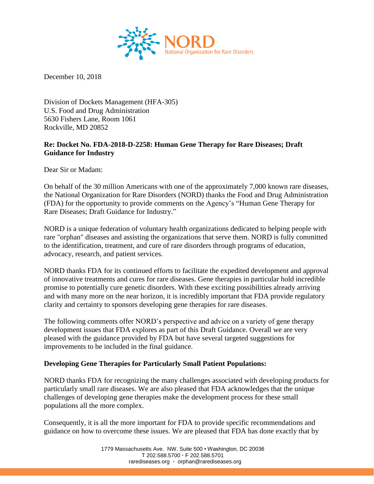

December 10, 2018

Division of Dockets Management (HFA-305) U.S. Food and Drug Administration 5630 Fishers Lane, Room 1061 Rockville, MD 20852

# **Re: Docket No. FDA-2018-D-2258: Human Gene Therapy for Rare Diseases; Draft Guidance for Industry**

Dear Sir or Madam:

On behalf of the 30 million Americans with one of the approximately 7,000 known rare diseases, the National Organization for Rare Disorders (NORD) thanks the Food and Drug Administration (FDA) for the opportunity to provide comments on the Agency's "Human Gene Therapy for Rare Diseases; Draft Guidance for Industry."

NORD is a unique federation of voluntary health organizations dedicated to helping people with rare "orphan" diseases and assisting the organizations that serve them. NORD is fully committed to the identification, treatment, and cure of rare disorders through programs of education, advocacy, research, and patient services.

NORD thanks FDA for its continued efforts to facilitate the expedited development and approval of innovative treatments and cures for rare diseases. Gene therapies in particular hold incredible promise to potentially cure genetic disorders. With these exciting possibilities already arriving and with many more on the near horizon, it is incredibly important that FDA provide regulatory clarity and certainty to sponsors developing gene therapies for rare diseases.

The following comments offer NORD's perspective and advice on a variety of gene therapy development issues that FDA explores as part of this Draft Guidance. Overall we are very pleased with the guidance provided by FDA but have several targeted suggestions for improvements to be included in the final guidance.

### **Developing Gene Therapies for Particularly Small Patient Populations:**

NORD thanks FDA for recognizing the many challenges associated with developing products for particularly small rare diseases. We are also pleased that FDA acknowledges that the unique challenges of developing gene therapies make the development process for these small populations all the more complex.

Consequently, it is all the more important for FDA to provide specific recommendations and guidance on how to overcome these issues. We are pleased that FDA has done exactly that by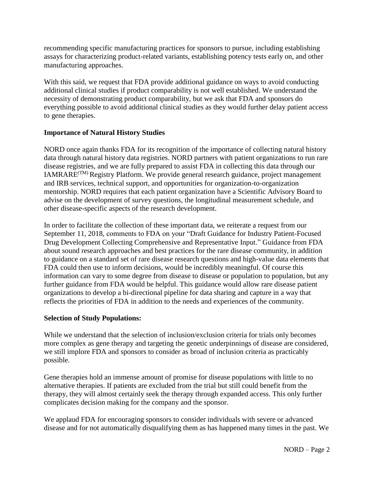recommending specific manufacturing practices for sponsors to pursue, including establishing assays for characterizing product-related variants, establishing potency tests early on, and other manufacturing approaches.

With this said, we request that FDA provide additional guidance on ways to avoid conducting additional clinical studies if product comparability is not well established. We understand the necessity of demonstrating product comparability, but we ask that FDA and sponsors do everything possible to avoid additional clinical studies as they would further delay patient access to gene therapies.

# **Importance of Natural History Studies**

NORD once again thanks FDA for its recognition of the importance of collecting natural history data through natural history data registries. NORD partners with patient organizations to run rare disease registries, and we are fully prepared to assist FDA in collecting this data through our IAMRARE<sup> $(TM)$ </sup> Registry Platform. We provide general research guidance, project management and IRB services, technical support, and opportunities for organization-to-organization mentorship. NORD requires that each patient organization have a Scientific Advisory Board to advise on the development of survey questions, the longitudinal measurement schedule, and other disease-specific aspects of the research development.

In order to facilitate the collection of these important data, we reiterate a request from our September 11, 2018, comments to FDA on your "Draft Guidance for Industry Patient-Focused Drug Development Collecting Comprehensive and Representative Input." Guidance from FDA about sound research approaches and best practices for the rare disease community, in addition to guidance on a standard set of rare disease research questions and high-value data elements that FDA could then use to inform decisions, would be incredibly meaningful. Of course this information can vary to some degree from disease to disease or population to population, but any further guidance from FDA would be helpful. This guidance would allow rare disease patient organizations to develop a bi-directional pipeline for data sharing and capture in a way that reflects the priorities of FDA in addition to the needs and experiences of the community.

### **Selection of Study Populations:**

While we understand that the selection of inclusion/exclusion criteria for trials only becomes more complex as gene therapy and targeting the genetic underpinnings of disease are considered, we still implore FDA and sponsors to consider as broad of inclusion criteria as practicably possible.

Gene therapies hold an immense amount of promise for disease populations with little to no alternative therapies. If patients are excluded from the trial but still could benefit from the therapy, they will almost certainly seek the therapy through expanded access. This only further complicates decision making for the company and the sponsor.

We applaud FDA for encouraging sponsors to consider individuals with severe or advanced disease and for not automatically disqualifying them as has happened many times in the past. We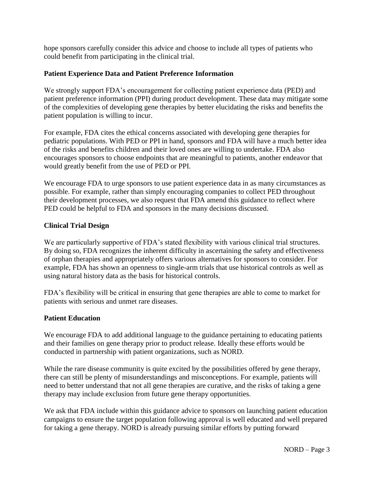hope sponsors carefully consider this advice and choose to include all types of patients who could benefit from participating in the clinical trial.

# **Patient Experience Data and Patient Preference Information**

We strongly support FDA's encouragement for collecting patient experience data (PED) and patient preference information (PPI) during product development. These data may mitigate some of the complexities of developing gene therapies by better elucidating the risks and benefits the patient population is willing to incur.

For example, FDA cites the ethical concerns associated with developing gene therapies for pediatric populations. With PED or PPI in hand, sponsors and FDA will have a much better idea of the risks and benefits children and their loved ones are willing to undertake. FDA also encourages sponsors to choose endpoints that are meaningful to patients, another endeavor that would greatly benefit from the use of PED or PPI.

We encourage FDA to urge sponsors to use patient experience data in as many circumstances as possible. For example, rather than simply encouraging companies to collect PED throughout their development processes, we also request that FDA amend this guidance to reflect where PED could be helpful to FDA and sponsors in the many decisions discussed.

## **Clinical Trial Design**

We are particularly supportive of FDA's stated flexibility with various clinical trial structures. By doing so, FDA recognizes the inherent difficulty in ascertaining the safety and effectiveness of orphan therapies and appropriately offers various alternatives for sponsors to consider. For example, FDA has shown an openness to single-arm trials that use historical controls as well as using natural history data as the basis for historical controls.

FDA's flexibility will be critical in ensuring that gene therapies are able to come to market for patients with serious and unmet rare diseases.

### **Patient Education**

We encourage FDA to add additional language to the guidance pertaining to educating patients and their families on gene therapy prior to product release. Ideally these efforts would be conducted in partnership with patient organizations, such as NORD.

While the rare disease community is quite excited by the possibilities offered by gene therapy, there can still be plenty of misunderstandings and misconceptions. For example, patients will need to better understand that not all gene therapies are curative, and the risks of taking a gene therapy may include exclusion from future gene therapy opportunities.

We ask that FDA include within this guidance advice to sponsors on launching patient education campaigns to ensure the target population following approval is well educated and well prepared for taking a gene therapy. NORD is already pursuing similar efforts by putting forward